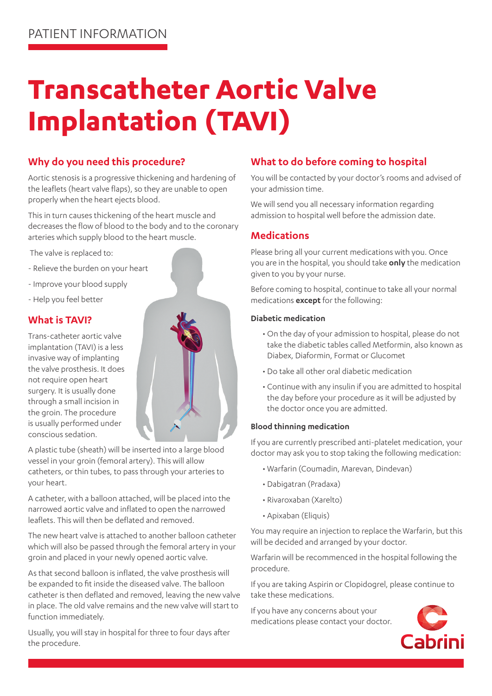# **Transcatheter Aortic Valve Implantation (TAVI)**

# **Why do you need this procedure?**

Aortic stenosis is a progressive thickening and hardening of the leaflets (heart valve flaps), so they are unable to open properly when the heart ejects blood.

This in turn causes thickening of the heart muscle and decreases the flow of blood to the body and to the coronary arteries which supply blood to the heart muscle.

The valve is replaced to:

- Relieve the burden on your heart
- Improve your blood supply
- Help you feel better

# **What is TAVI?**

Trans-catheter aortic valve implantation (TAVI) is a less invasive way of implanting the valve prosthesis. It does not require open heart surgery. It is usually done through a small incision in the groin. The procedure is usually performed under conscious sedation.



A plastic tube (sheath) will be inserted into a large blood vessel in your groin (femoral artery). This will allow catheters, or thin tubes, to pass through your arteries to your heart.

A catheter, with a balloon attached, will be placed into the narrowed aortic valve and inflated to open the narrowed leaflets. This will then be deflated and removed.

The new heart valve is attached to another balloon catheter which will also be passed through the femoral artery in your groin and placed in your newly opened aortic valve.

As that second balloon is inflated, the valve prosthesis will be expanded to fit inside the diseased valve. The balloon catheter is then deflated and removed, leaving the new valve in place. The old valve remains and the new valve will start to function immediately.

Usually, you will stay in hospital for three to four days after the procedure.

# **What to do before coming to hospital**

You will be contacted by your doctor's rooms and advised of your admission time.

We will send you all necessary information regarding admission to hospital well before the admission date.

# **Medications**

Please bring all your current medications with you. Once you are in the hospital, you should take **only** the medication given to you by your nurse.

Before coming to hospital, continue to take all your normal medications **except** for the following:

#### **Diabetic medication**

- On the day of your admission to hospital, please do not take the diabetic tables called Metformin, also known as Diabex, Diaformin, Format or Glucomet
- Do take all other oral diabetic medication
- Continue with any insulin if you are admitted to hospital the day before your procedure as it will be adjusted by the doctor once you are admitted.

#### **Blood thinning medication**

If you are currently prescribed anti-platelet medication, your doctor may ask you to stop taking the following medication:

- Warfarin (Coumadin, Marevan, Dindevan)
- Dabigatran (Pradaxa)
- Rivaroxaban (Xarelto)
- Apixaban (Eliquis)

You may require an injection to replace the Warfarin, but this will be decided and arranged by your doctor.

Warfarin will be recommenced in the hospital following the procedure.

If you are taking Aspirin or Clopidogrel, please continue to take these medications.

If you have any concerns about your medications please contact your doctor.

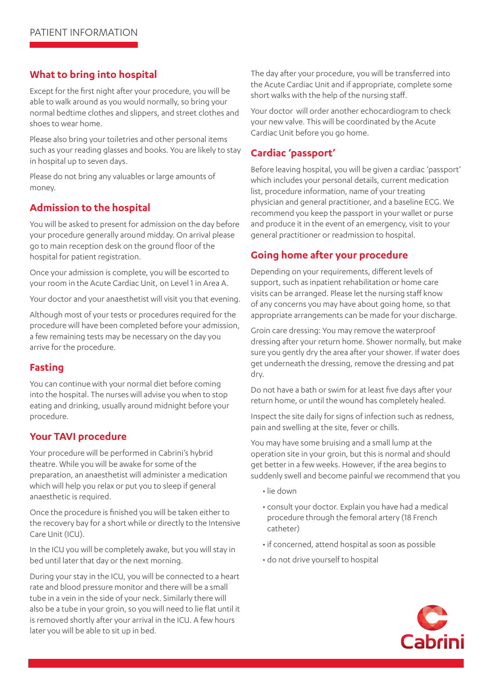# **What to bring into hospital**

Except for the first night after your procedure, you will be able to walk around as you would normally, so bring your normal bedtime clothes and slippers, and street clothes and shoes to wear home.

Please also bring your toiletries and other personal items such as your reading glasses and books. You are likely to stay in hospital up to seven days.

Please do not bring any valuables or large amounts of money.

# **Admission to the hospital**

You will be asked to present for admission on the day before your procedure generally around midday. On arrival please go to main reception desk on the ground floor of the hospital for patient registration.

Once your admission is complete, you will be escorted to your room in the Acute Cardiac Unit, on Level 1 in Area A.

Your doctor and your anaesthetist will visit you that evening.

Although most of your tests or procedures required for the procedure will have been completed before your admission, a few remaining tests may be necessary on the day you arrive for the procedure.

# **Fasting**

You can continue with your normal diet before coming into the hospital. The nurses will advise you when to stop eating and drinking, usually around midnight before your procedure.

#### **Your TAVI procedure**

Your procedure will be performed in Cabrini's hybrid theatre. While you will be awake for some of the preparation, an anaesthetist will administer a medication which will help you relax or put you to sleep if general anaesthetic is required.

Once the procedure is finished you will be taken either to the recovery bay for a short while or directly to the Intensive Care Unit (ICU).

In the ICU you will be completely awake, but you will stay in bed until later that day or the next morning.

During your stay in the ICU, you will be connected to a heart rate and blood pressure monitor and there will be a small tube in a vein in the side of your neck. Similarly there will also be a tube in your groin, so you will need to lie flat until it is removed shortly after your arrival in the ICU. A few hours later you will be able to sit up in bed.

The day after your procedure, you will be transferred into the Acute Cardiac Unit and if appropriate, complete some short walks with the help of the nursing staff.

Your doctor will order another echocardiogram to check your new valve. This will be coordinated by the Acute Cardiac Unit before you go home.

# **Cardiac 'passport'**

Before leaving hospital, you will be given a cardiac 'passport' which includes your personal details, current medication list, procedure information, name of your treating physician and general practitioner, and a baseline ECG. We recommend you keep the passport in your wallet or purse and produce it in the event of an emergency, visit to your general practitioner or readmission to hospital.

# **Going home after your procedure**

Depending on your requirements, different levels of support, such as inpatient rehabilitation or home care visits can be arranged. Please let the nursing staff know of any concerns you may have about going home, so that appropriate arrangements can be made for your discharge.

Groin care dressing: You may remove the waterproof dressing after your return home. Shower normally, but make sure you gently dry the area after your shower. If water does get underneath the dressing, remove the dressing and pat dry.

Do not have a bath or swim for at least five days after your return home, or until the wound has completely healed.

Inspect the site daily for signs of infection such as redness, pain and swelling at the site, fever or chills.

You may have some bruising and a small lump at the operation site in your groin, but this is normal and should get better in a few weeks. However, if the area begins to suddenly swell and become painful we recommend that you

- lie down
- consult your doctor. Explain you have had a medical procedure through the femoral artery (18 French catheter)
- if concerned, attend hospital as soon as possible
- do not drive yourself to hospital